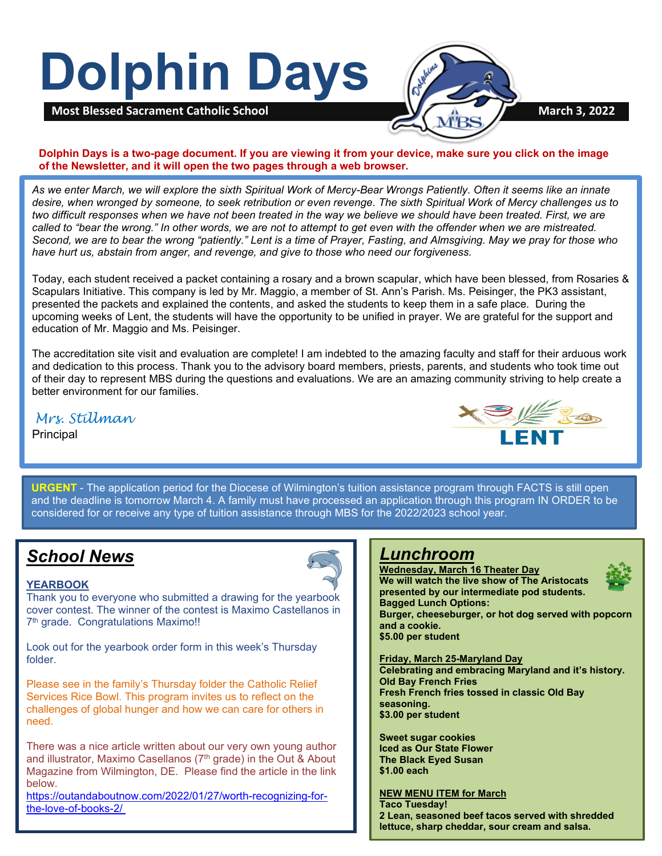# **Dolphin Days**



**Dolphin Days is a two-page document. If you are viewing it from your device, make sure you click on the image of the Newsletter, and it will open the two pages through a web browser.**

*As we enter March, we will explore the sixth Spiritual Work of Mercy-Bear Wrongs Patiently. Often it seems like an innate desire, when wronged by someone, to seek retribution or even revenge. The sixth Spiritual Work of Mercy challenges us to two difficult responses when we have not been treated in the way we believe we should have been treated. First, we are called to "bear the wrong." In other words, we are not to attempt to get even with the offender when we are mistreated. Second, we are to bear the wrong "patiently." Lent is a time of Prayer, Fasting, and Almsgiving. May we pray for those who have hurt us, abstain from anger, and revenge, and give to those who need our forgiveness.*

Today, each student received a packet containing a rosary and a brown scapular, which have been blessed, from Rosaries & Scapulars Initiative. This company is led by Mr. Maggio, a member of St. Ann's Parish. Ms. Peisinger, the PK3 assistant, presented the packets and explained the contents, and asked the students to keep them in a safe place. During the upcoming weeks of Lent, the students will have the opportunity to be unified in prayer. We are grateful for the support and education of Mr. Maggio and Ms. Peisinger.

The accreditation site visit and evaluation are complete! I am indebted to the amazing faculty and staff for their arduous work and dedication to this process. Thank you to the advisory board members, priests, parents, and students who took time out of their day to represent MBS during the questions and evaluations. We are an amazing community striving to help create a better environment for our families.

*Mrs. Stillman*

Principal



 considered for or receive any type of tuition assistance through MBS for the 2022/2023 school year. **URGENT** - The application period for the Diocese of Wilmington's tuition assistance program through FACTS is still open and the deadline is tomorrow March 4. A family must have processed an application through this program IN ORDER to be

# *School News*

#### **YEARBOOK**

Thank you to everyone who submitted a drawing for the yearbook cover contest. The winner of the contest is Maximo Castellanos in 7<sup>th</sup> grade. Congratulations Maximo!!

Look out for the yearbook order form in this week's Thursday folder.

Please see in the family's Thursday folder the Catholic Relief Services Rice Bowl. This program invites us to reflect on the challenges of global hunger and how we can care for others in need.

There was a nice article written about our very own young author and illustrator, Maximo Casellanos (7<sup>th</sup> grade) in the Out & About Magazine from Wilmington, DE. Please find the article in the link below.

[https://outandaboutnow.com/2022/01/27/worth-recognizing-for](https://outandaboutnow.com/2022/01/27/worth-recognizing-for-the-love-of-books-2/)[the-love-of-books-2/](https://outandaboutnow.com/2022/01/27/worth-recognizing-for-the-love-of-books-2/)

#### *Lunchroom* **Wednesday, March 16 Theater Day**

**We will watch the live show of The Aristocats presented by our intermediate pod students. Bagged Lunch Options:**

**Burger, cheeseburger, or hot dog served with popcorn** 

**and a cookie. \$5.00 per student**

#### **Friday, March 25-Maryland Day**

**Celebrating and embracing Maryland and it's history. Old Bay French Fries Fresh French fries tossed in classic Old Bay seasoning. \$3.00 per student**

**Sweet sugar cookies Iced as Our State Flower The Black Eyed Susan \$1.00 each**

## **NEW MENU ITEM for March**

**Taco Tuesday! 2 Lean, seasoned beef tacos served with shredded lettuce, sharp cheddar, sour cream and salsa.**